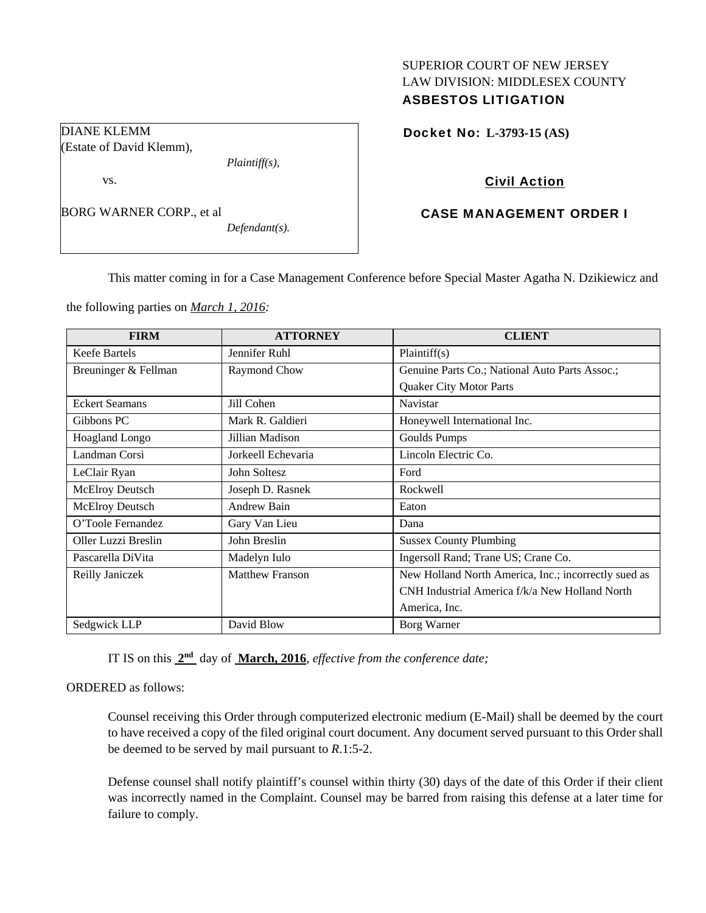# SUPERIOR COURT OF NEW JERSEY LAW DIVISION: MIDDLESEX COUNTY ASBESTOS LITIGATION

Docket No: **L-3793-15 (AS)** 

## Civil Action

# CASE MANAGEMENT ORDER I

This matter coming in for a Case Management Conference before Special Master Agatha N. Dzikiewicz and

the following parties on *March 1, 2016:* 

*Plaintiff(s),* 

*Defendant(s).* 

DIANE KLEMM

vs.

(Estate of David Klemm),

BORG WARNER CORP., et al

| <b>FIRM</b>            | <b>ATTORNEY</b>        | <b>CLIENT</b>                                        |
|------------------------|------------------------|------------------------------------------------------|
| Keefe Bartels          | Jennifer Ruhl          | Plaintiff(s)                                         |
| Breuninger & Fellman   | Raymond Chow           | Genuine Parts Co.; National Auto Parts Assoc.;       |
|                        |                        | Quaker City Motor Parts                              |
| <b>Eckert Seamans</b>  | Jill Cohen             | Navistar                                             |
| Gibbons PC             | Mark R. Galdieri       | Honeywell International Inc.                         |
| Hoagland Longo         | Jillian Madison        | Goulds Pumps                                         |
| Landman Corsi          | Jorkeell Echevaria     | Lincoln Electric Co.                                 |
| LeClair Ryan           | John Soltesz           | Ford                                                 |
| <b>McElroy Deutsch</b> | Joseph D. Rasnek       | Rockwell                                             |
| <b>McElroy Deutsch</b> | Andrew Bain            | Eaton                                                |
| O'Toole Fernandez      | Gary Van Lieu          | Dana                                                 |
| Oller Luzzi Breslin    | John Breslin           | <b>Sussex County Plumbing</b>                        |
| Pascarella DiVita      | Madelyn Iulo           | Ingersoll Rand; Trane US; Crane Co.                  |
| Reilly Janiczek        | <b>Matthew Franson</b> | New Holland North America, Inc.; incorrectly sued as |
|                        |                        | CNH Industrial America f/k/a New Holland North       |
|                        |                        | America, Inc.                                        |
| Sedgwick LLP           | David Blow             | Borg Warner                                          |

IT IS on this **2nd** day of **March, 2016**, *effective from the conference date;*

### ORDERED as follows:

Counsel receiving this Order through computerized electronic medium (E-Mail) shall be deemed by the court to have received a copy of the filed original court document. Any document served pursuant to this Order shall be deemed to be served by mail pursuant to *R*.1:5-2.

Defense counsel shall notify plaintiff's counsel within thirty (30) days of the date of this Order if their client was incorrectly named in the Complaint. Counsel may be barred from raising this defense at a later time for failure to comply.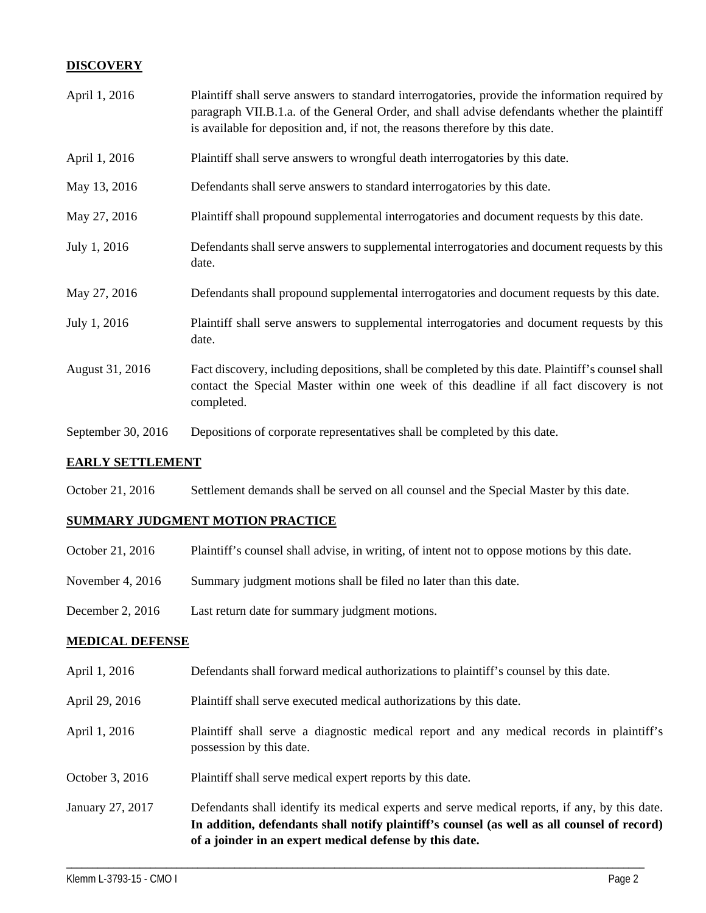# **DISCOVERY**

| April 1, 2016      | Plaintiff shall serve answers to standard interrogatories, provide the information required by<br>paragraph VII.B.1.a. of the General Order, and shall advise defendants whether the plaintiff<br>is available for deposition and, if not, the reasons therefore by this date. |
|--------------------|--------------------------------------------------------------------------------------------------------------------------------------------------------------------------------------------------------------------------------------------------------------------------------|
| April 1, 2016      | Plaintiff shall serve answers to wrongful death interrogatories by this date.                                                                                                                                                                                                  |
| May 13, 2016       | Defendants shall serve answers to standard interrogatories by this date.                                                                                                                                                                                                       |
| May 27, 2016       | Plaintiff shall propound supplemental interrogatories and document requests by this date.                                                                                                                                                                                      |
| July 1, 2016       | Defendants shall serve answers to supplemental interrogatories and document requests by this<br>date.                                                                                                                                                                          |
| May 27, 2016       | Defendants shall propound supplemental interrogatories and document requests by this date.                                                                                                                                                                                     |
| July 1, 2016       | Plaintiff shall serve answers to supplemental interrogatories and document requests by this<br>date.                                                                                                                                                                           |
| August 31, 2016    | Fact discovery, including depositions, shall be completed by this date. Plaintiff's counsel shall<br>contact the Special Master within one week of this deadline if all fact discovery is not<br>completed.                                                                    |
| September 30, 2016 | Depositions of corporate representatives shall be completed by this date.                                                                                                                                                                                                      |

### **EARLY SETTLEMENT**

October 21, 2016 Settlement demands shall be served on all counsel and the Special Master by this date.

## **SUMMARY JUDGMENT MOTION PRACTICE**

| October 21, 2016   | Plaintiff's counsel shall advise, in writing, of intent not to oppose motions by this date. |
|--------------------|---------------------------------------------------------------------------------------------|
| November 4, $2016$ | Summary judgment motions shall be filed no later than this date.                            |
| December 2, $2016$ | Last return date for summary judgment motions.                                              |

# **MEDICAL DEFENSE**

- April 1, 2016 Defendants shall forward medical authorizations to plaintiff's counsel by this date.
- April 29, 2016 Plaintiff shall serve executed medical authorizations by this date.
- April 1, 2016 Plaintiff shall serve a diagnostic medical report and any medical records in plaintiff's possession by this date.
- October 3, 2016 Plaintiff shall serve medical expert reports by this date.
- January 27, 2017 Defendants shall identify its medical experts and serve medical reports, if any, by this date. **In addition, defendants shall notify plaintiff's counsel (as well as all counsel of record) of a joinder in an expert medical defense by this date.**

\_\_\_\_\_\_\_\_\_\_\_\_\_\_\_\_\_\_\_\_\_\_\_\_\_\_\_\_\_\_\_\_\_\_\_\_\_\_\_\_\_\_\_\_\_\_\_\_\_\_\_\_\_\_\_\_\_\_\_\_\_\_\_\_\_\_\_\_\_\_\_\_\_\_\_\_\_\_\_\_\_\_\_\_\_\_\_\_\_\_\_\_\_\_\_\_\_\_\_\_\_\_\_\_\_\_\_\_\_\_